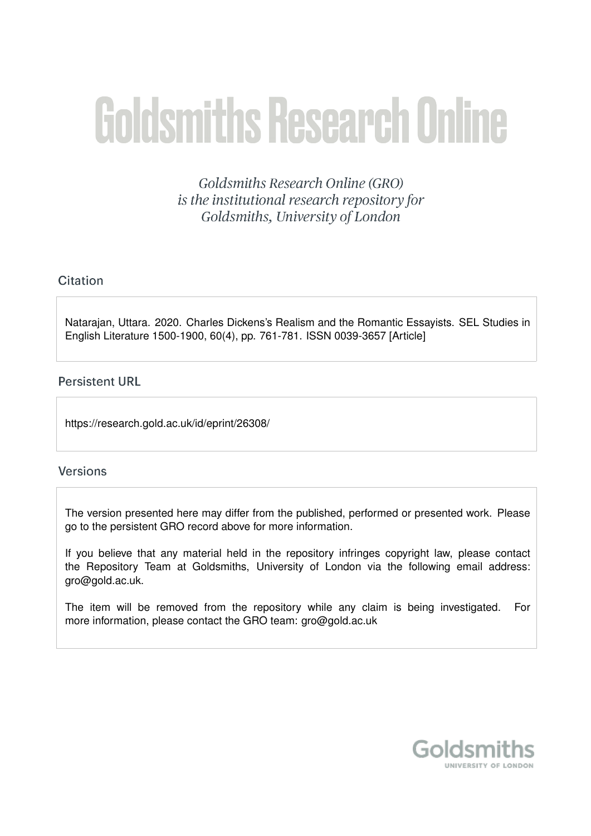# **Goldsmiths Research Online**

Goldsmiths Research Online (GRO) is the institutional research repository for Goldsmiths, University of London

# Citation

Natarajan, Uttara. 2020. Charles Dickens's Realism and the Romantic Essayists. SEL Studies in English Literature 1500-1900, 60(4), pp. 761-781. ISSN 0039-3657 [Article]

# **Persistent URL**

https://research.gold.ac.uk/id/eprint/26308/

# **Versions**

The version presented here may differ from the published, performed or presented work. Please go to the persistent GRO record above for more information.

If you believe that any material held in the repository infringes copyright law, please contact the Repository Team at Goldsmiths, University of London via the following email address: gro@gold.ac.uk.

The item will be removed from the repository while any claim is being investigated. For more information, please contact the GRO team: gro@gold.ac.uk

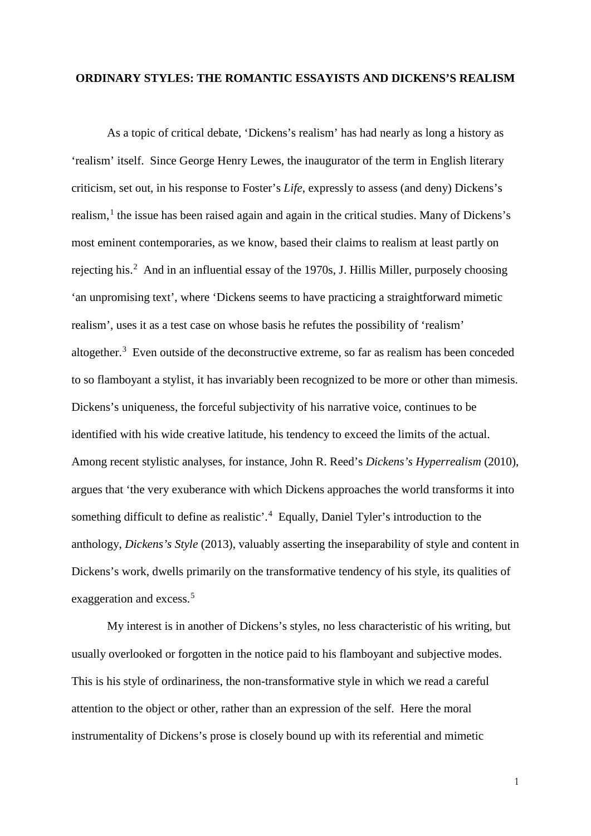#### **ORDINARY STYLES: THE ROMANTIC ESSAYISTS AND DICKENS'S REALISM**

As a topic of critical debate, 'Dickens's realism' has had nearly as long a history as 'realism' itself. Since George Henry Lewes, the inaugurator of the term in English literary criticism, set out, in his response to Foster's *Life*, expressly to assess (and deny) Dickens's realism, $<sup>1</sup>$  $<sup>1</sup>$  $<sup>1</sup>$  the issue has been raised again and again in the critical studies. Many of Dickens's</sup> most eminent contemporaries, as we know, based their claims to realism at least partly on rejecting his.<sup>[2](#page-6-1)</sup> And in an influential essay of the 1970s, J. Hillis Miller, purposely choosing 'an unpromising text', where 'Dickens seems to have practicing a straightforward mimetic realism', uses it as a test case on whose basis he refutes the possibility of 'realism' altogether. $3$  Even outside of the deconstructive extreme, so far as realism has been conceded to so flamboyant a stylist, it has invariably been recognized to be more or other than mimesis. Dickens's uniqueness, the forceful subjectivity of his narrative voice, continues to be identified with his wide creative latitude, his tendency to exceed the limits of the actual. Among recent stylistic analyses, for instance, John R. Reed's *Dickens's Hyperrealism* (2010), argues that 'the very exuberance with which Dickens approaches the world transforms it into something difficult to define as realistic'.<sup>[4](#page-7-0)</sup> Equally, Daniel Tyler's introduction to the anthology, *Dickens's Style* (2013), valuably asserting the inseparability of style and content in Dickens's work, dwells primarily on the transformative tendency of his style, its qualities of exaggeration and excess.<sup>[5](#page-7-1)</sup>

My interest is in another of Dickens's styles, no less characteristic of his writing, but usually overlooked or forgotten in the notice paid to his flamboyant and subjective modes. This is his style of ordinariness, the non-transformative style in which we read a careful attention to the object or other, rather than an expression of the self. Here the moral instrumentality of Dickens's prose is closely bound up with its referential and mimetic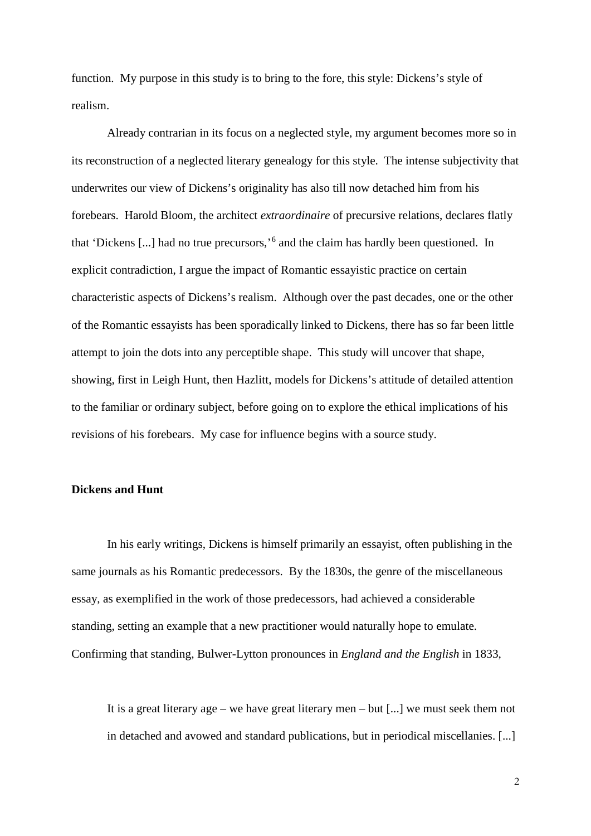function. My purpose in this study is to bring to the fore, this style: Dickens's style of realism.

Already contrarian in its focus on a neglected style, my argument becomes more so in its reconstruction of a neglected literary genealogy for this style. The intense subjectivity that underwrites our view of Dickens's originality has also till now detached him from his forebears. Harold Bloom, the architect *extraordinaire* of precursive relations, declares flatly that 'Dickens [...] had no true precursors,'[6](#page-7-2) and the claim has hardly been questioned. In explicit contradiction, I argue the impact of Romantic essayistic practice on certain characteristic aspects of Dickens's realism. Although over the past decades, one or the other of the Romantic essayists has been sporadically linked to Dickens, there has so far been little attempt to join the dots into any perceptible shape. This study will uncover that shape, showing, first in Leigh Hunt, then Hazlitt, models for Dickens's attitude of detailed attention to the familiar or ordinary subject, before going on to explore the ethical implications of his revisions of his forebears. My case for influence begins with a source study.

### **Dickens and Hunt**

In his early writings, Dickens is himself primarily an essayist, often publishing in the same journals as his Romantic predecessors. By the 1830s, the genre of the miscellaneous essay, as exemplified in the work of those predecessors, had achieved a considerable standing, setting an example that a new practitioner would naturally hope to emulate. Confirming that standing, Bulwer-Lytton pronounces in *England and the English* in 1833,

It is a great literary age – we have great literary men – but [...] we must seek them not in detached and avowed and standard publications, but in periodical miscellanies. [...]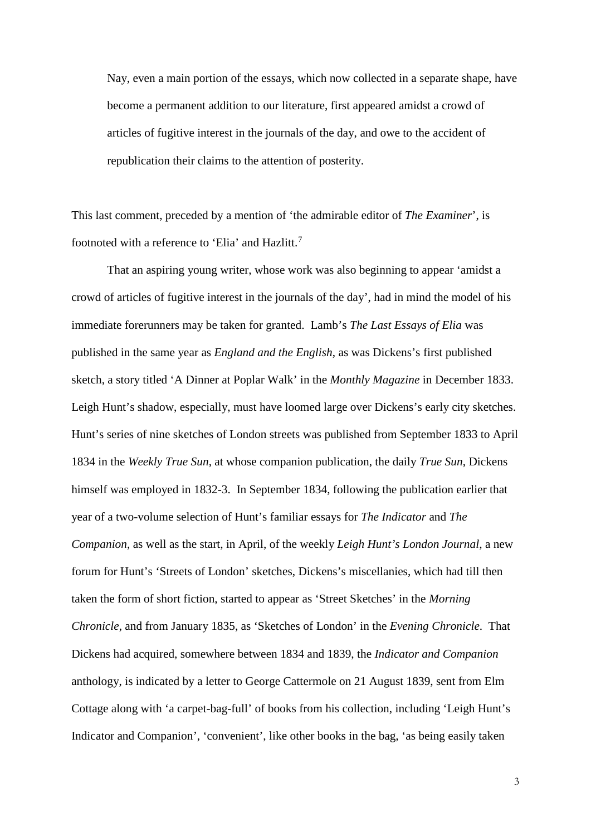Nay, even a main portion of the essays, which now collected in a separate shape, have become a permanent addition to our literature, first appeared amidst a crowd of articles of fugitive interest in the journals of the day, and owe to the accident of republication their claims to the attention of posterity.

This last comment, preceded by a mention of 'the admirable editor of *The Examiner*', is footnoted with a reference to 'Elia' and Hazlitt.<sup>[7](#page-7-3)</sup>

That an aspiring young writer, whose work was also beginning to appear 'amidst a crowd of articles of fugitive interest in the journals of the day', had in mind the model of his immediate forerunners may be taken for granted. Lamb's *The Last Essays of Elia* was published in the same year as *England and the English*, as was Dickens's first published sketch, a story titled 'A Dinner at Poplar Walk' in the *Monthly Magazine* in December 1833. Leigh Hunt's shadow, especially, must have loomed large over Dickens's early city sketches. Hunt's series of nine sketches of London streets was published from September 1833 to April 1834 in the *Weekly True Sun*, at whose companion publication, the daily *True Sun*, Dickens himself was employed in 1832-3. In September 1834, following the publication earlier that year of a two-volume selection of Hunt's familiar essays for *The Indicator* and *The Companion*, as well as the start, in April, of the weekly *Leigh Hunt's London Journal*, a new forum for Hunt's 'Streets of London' sketches, Dickens's miscellanies, which had till then taken the form of short fiction, started to appear as 'Street Sketches' in the *Morning Chronicle*, and from January 1835, as 'Sketches of London' in the *Evening Chronicle*. That Dickens had acquired, somewhere between 1834 and 1839, the *Indicator and Companion* anthology, is indicated by a letter to George Cattermole on 21 August 1839, sent from Elm Cottage along with 'a carpet-bag-full' of books from his collection, including 'Leigh Hunt's Indicator and Companion', 'convenient', like other books in the bag, 'as being easily taken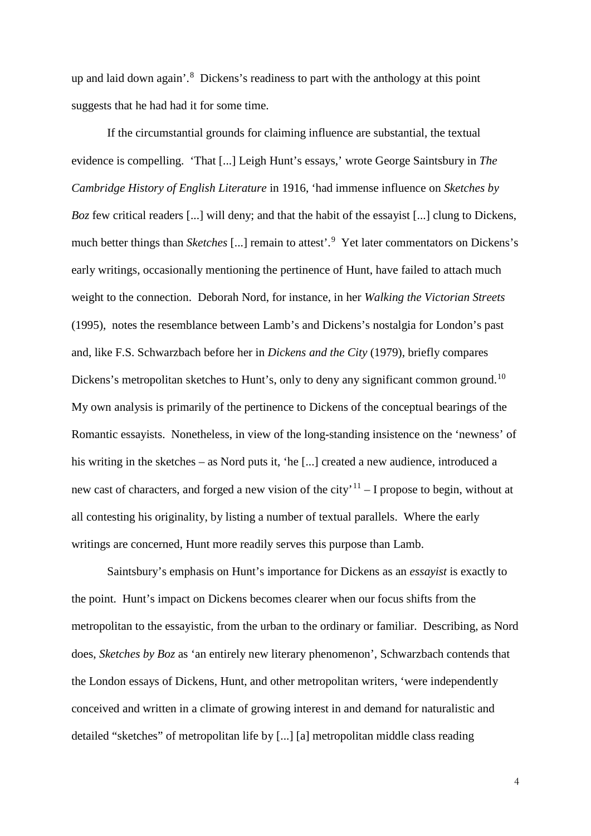up and laid down again'.<sup>[8](#page-7-4)</sup> Dickens's readiness to part with the anthology at this point suggests that he had had it for some time.

If the circumstantial grounds for claiming influence are substantial, the textual evidence is compelling. 'That [...] Leigh Hunt's essays,' wrote George Saintsbury in *The Cambridge History of English Literature* in 1916, 'had immense influence on *Sketches by Boz* few critical readers [...] will deny; and that the habit of the essayist [...] clung to Dickens, much better things than *Sketches* [...] remain to attest<sup>'</sup>.<sup>[9](#page-7-5)</sup> Yet later commentators on Dickens's early writings, occasionally mentioning the pertinence of Hunt, have failed to attach much weight to the connection. Deborah Nord, for instance, in her *Walking the Victorian Streets*  (1995), notes the resemblance between Lamb's and Dickens's nostalgia for London's past and, like F.S. Schwarzbach before her in *Dickens and the City* (1979), briefly compares Dickens's metropolitan sketches to Hunt's, only to deny any significant common ground.<sup>10</sup> My own analysis is primarily of the pertinence to Dickens of the conceptual bearings of the Romantic essayists. Nonetheless, in view of the long-standing insistence on the 'newness' of his writing in the sketches – as Nord puts it, 'he [...] created a new audience, introduced a new cast of characters, and forged a new vision of the city'<sup>[11](#page-7-7)</sup> – I propose to begin, without at all contesting his originality, by listing a number of textual parallels. Where the early writings are concerned, Hunt more readily serves this purpose than Lamb.

Saintsbury's emphasis on Hunt's importance for Dickens as an *essayist* is exactly to the point. Hunt's impact on Dickens becomes clearer when our focus shifts from the metropolitan to the essayistic, from the urban to the ordinary or familiar. Describing, as Nord does, *Sketches by Boz* as 'an entirely new literary phenomenon', Schwarzbach contends that the London essays of Dickens, Hunt, and other metropolitan writers, 'were independently conceived and written in a climate of growing interest in and demand for naturalistic and detailed "sketches" of metropolitan life by [...] [a] metropolitan middle class reading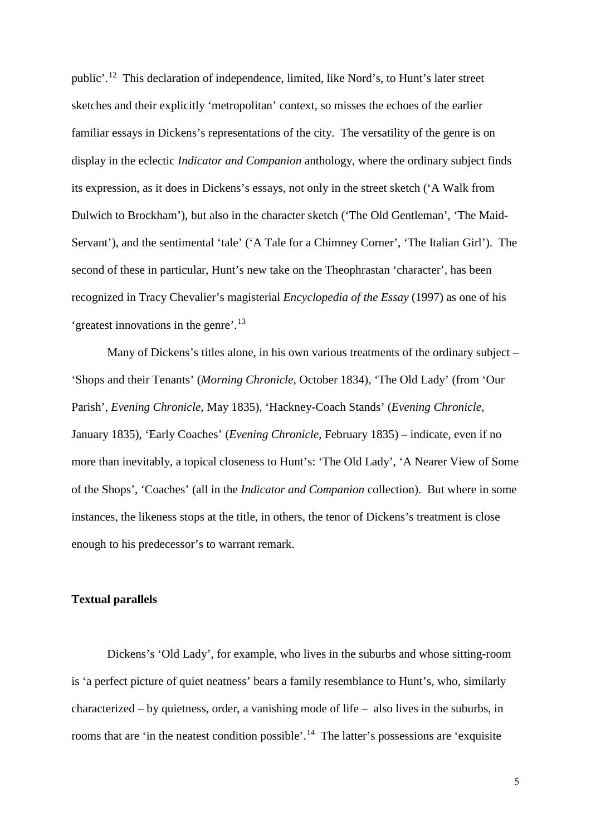public'.[12](#page-7-8) This declaration of independence, limited, like Nord's, to Hunt's later street sketches and their explicitly 'metropolitan' context, so misses the echoes of the earlier familiar essays in Dickens's representations of the city. The versatility of the genre is on display in the eclectic *Indicator and Companion* anthology, where the ordinary subject finds its expression, as it does in Dickens's essays, not only in the street sketch ('A Walk from Dulwich to Brockham'), but also in the character sketch ('The Old Gentleman', 'The Maid-Servant'), and the sentimental 'tale' ('A Tale for a Chimney Corner', 'The Italian Girl'). The second of these in particular, Hunt's new take on the Theophrastan 'character', has been recognized in Tracy Chevalier's magisterial *Encyclopedia of the Essay* (1997) as one of his 'greatest innovations in the genre'.[13](#page-7-9)

Many of Dickens's titles alone, in his own various treatments of the ordinary subject – 'Shops and their Tenants' (*Morning Chronicle*, October 1834), 'The Old Lady' (from 'Our Parish', *Evening Chronicle*, May 1835), 'Hackney-Coach Stands' (*Evening Chronicle*, January 1835), 'Early Coaches' (*Evening Chronicle*, February 1835) – indicate, even if no more than inevitably, a topical closeness to Hunt's: 'The Old Lady', 'A Nearer View of Some of the Shops', 'Coaches' (all in the *Indicator and Companion* collection). But where in some instances, the likeness stops at the title, in others, the tenor of Dickens's treatment is close enough to his predecessor's to warrant remark.

## **Textual parallels**

Dickens's 'Old Lady', for example, who lives in the suburbs and whose sitting-room is 'a perfect picture of quiet neatness' bears a family resemblance to Hunt's, who, similarly characterized – by quietness, order, a vanishing mode of life – also lives in the suburbs, in rooms that are 'in the neatest condition possible'.<sup>[14](#page-7-10)</sup> The latter's possessions are 'exquisite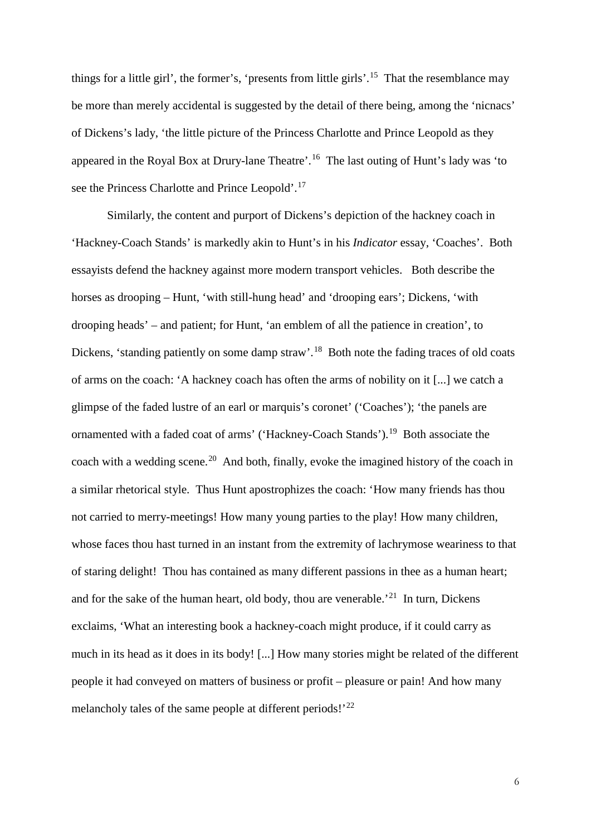things for a little girl', the former's, 'presents from little girls'.[15](#page-8-0) That the resemblance may be more than merely accidental is suggested by the detail of there being, among the 'nicnacs' of Dickens's lady, 'the little picture of the Princess Charlotte and Prince Leopold as they appeared in the Royal Box at Drury-lane Theatre'.[16](#page-8-1) The last outing of Hunt's lady was 'to see the Princess Charlotte and Prince Leopold'.<sup>[17](#page-8-2)</sup>

<span id="page-6-2"></span><span id="page-6-1"></span><span id="page-6-0"></span>Similarly, the content and purport of Dickens's depiction of the hackney coach in 'Hackney-Coach Stands' is markedly akin to Hunt's in his *Indicator* essay, 'Coaches'. Both essayists defend the hackney against more modern transport vehicles. Both describe the horses as drooping – Hunt, 'with still-hung head' and 'drooping ears'; Dickens, 'with drooping heads' – and patient; for Hunt, 'an emblem of all the patience in creation', to Dickens, 'standing patiently on some damp straw'.<sup>18</sup> Both note the fading traces of old coats of arms on the coach: 'A hackney coach has often the arms of nobility on it [...] we catch a glimpse of the faded lustre of an earl or marquis's coronet' ('Coaches'); 'the panels are ornamented with a faded coat of arms' ('Hackney-Coach Stands').<sup>[19](#page-8-4)</sup> Both associate the coach with a wedding scene.<sup>[20](#page-8-5)</sup> And both, finally, evoke the imagined history of the coach in a similar rhetorical style. Thus Hunt apostrophizes the coach: 'How many friends has thou not carried to merry-meetings! How many young parties to the play! How many children, whose faces thou hast turned in an instant from the extremity of lachrymose weariness to that of staring delight! Thou has contained as many different passions in thee as a human heart; and for the sake of the human heart, old body, thou are venerable.<sup>[21](#page-8-6)</sup> In turn, Dickens exclaims, 'What an interesting book a hackney-coach might produce, if it could carry as much in its head as it does in its body! [...] How many stories might be related of the different people it had conveyed on matters of business or profit – pleasure or pain! And how many melancholy tales of the same people at different periods!'<sup>[22](#page-8-7)</sup>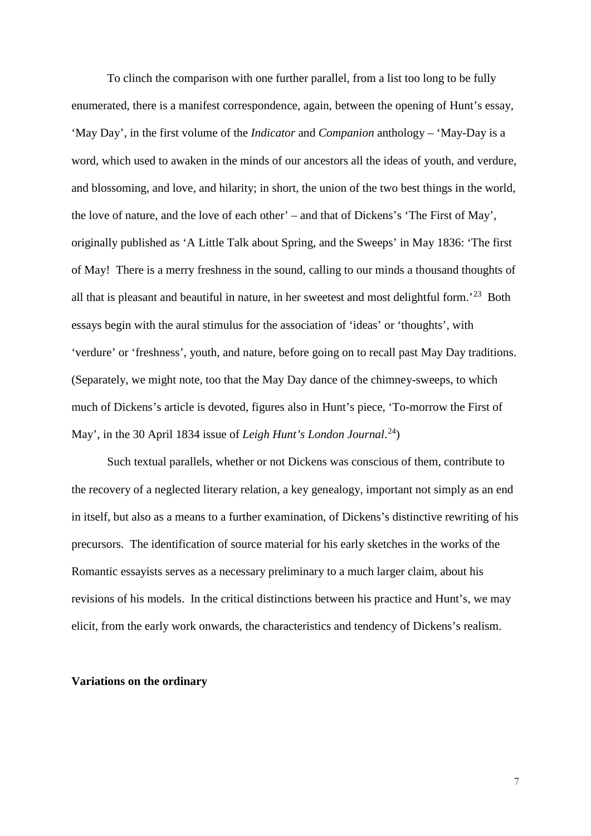<span id="page-7-3"></span><span id="page-7-2"></span><span id="page-7-1"></span><span id="page-7-0"></span>To clinch the comparison with one further parallel, from a list too long to be fully enumerated, there is a manifest correspondence, again, between the opening of Hunt's essay, 'May Day', in the first volume of the *Indicator* and *Companion* anthology – 'May-Day is a word, which used to awaken in the minds of our ancestors all the ideas of youth, and verdure, and blossoming, and love, and hilarity; in short, the union of the two best things in the world, the love of nature, and the love of each other' – and that of Dickens's 'The First of May', originally published as 'A Little Talk about Spring, and the Sweeps' in May 1836: 'The first of May! There is a merry freshness in the sound, calling to our minds a thousand thoughts of all that is pleasant and beautiful in nature, in her sweetest and most delightful form.'[23](#page-8-8) Both essays begin with the aural stimulus for the association of 'ideas' or 'thoughts', with 'verdure' or 'freshness', youth, and nature, before going on to recall past May Day traditions. (Separately, we might note, too that the May Day dance of the chimney-sweeps, to which much of Dickens's article is devoted, figures also in Hunt's piece, 'To-morrow the First of May', in the 30 April 1834 issue of *Leigh Hunt's London Journal*.<sup>[24](#page-8-9)</sup>)

<span id="page-7-8"></span><span id="page-7-7"></span><span id="page-7-6"></span><span id="page-7-5"></span><span id="page-7-4"></span>Such textual parallels, whether or not Dickens was conscious of them, contribute to the recovery of a neglected literary relation, a key genealogy, important not simply as an end in itself, but also as a means to a further examination, of Dickens's distinctive rewriting of his precursors. The identification of source material for his early sketches in the works of the Romantic essayists serves as a necessary preliminary to a much larger claim, about his revisions of his models. In the critical distinctions between his practice and Hunt's, we may elicit, from the early work onwards, the characteristics and tendency of Dickens's realism.

## <span id="page-7-10"></span><span id="page-7-9"></span>**Variations on the ordinary**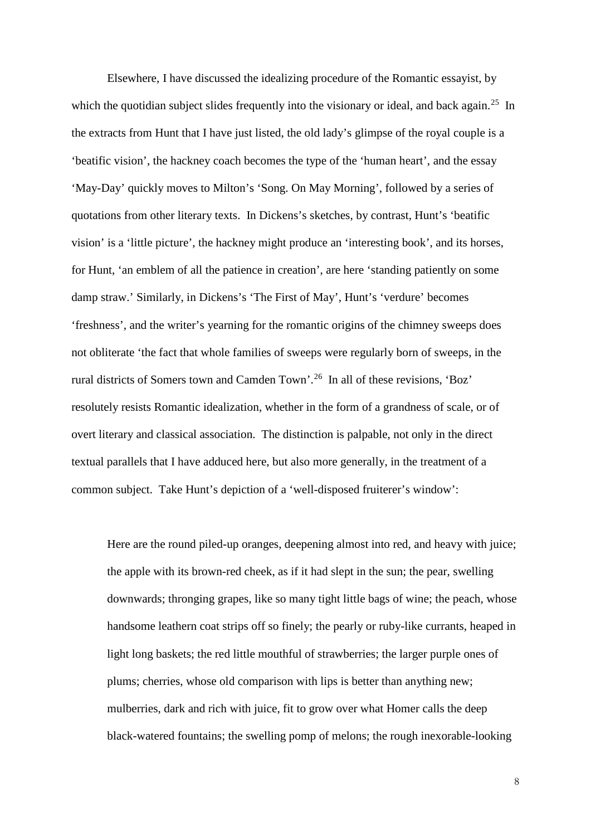<span id="page-8-8"></span><span id="page-8-7"></span><span id="page-8-6"></span><span id="page-8-5"></span><span id="page-8-4"></span><span id="page-8-3"></span><span id="page-8-2"></span><span id="page-8-1"></span><span id="page-8-0"></span>Elsewhere, I have discussed the idealizing procedure of the Romantic essayist, by which the quotidian subject slides frequently into the visionary or ideal, and back again.<sup>25</sup> In the extracts from Hunt that I have just listed, the old lady's glimpse of the royal couple is a 'beatific vision', the hackney coach becomes the type of the 'human heart', and the essay 'May-Day' quickly moves to Milton's 'Song. On May Morning', followed by a series of quotations from other literary texts. In Dickens's sketches, by contrast, Hunt's 'beatific vision' is a 'little picture', the hackney might produce an 'interesting book', and its horses, for Hunt, 'an emblem of all the patience in creation', are here 'standing patiently on some damp straw.' Similarly, in Dickens's 'The First of May', Hunt's 'verdure' becomes 'freshness', and the writer's yearning for the romantic origins of the chimney sweeps does not obliterate 'the fact that whole families of sweeps were regularly born of sweeps, in the rural districts of Somers town and Camden Town'.[26](#page-8-11) In all of these revisions, 'Boz' resolutely resists Romantic idealization, whether in the form of a grandness of scale, or of overt literary and classical association. The distinction is palpable, not only in the direct textual parallels that I have adduced here, but also more generally, in the treatment of a common subject. Take Hunt's depiction of a 'well-disposed fruiterer's window':

<span id="page-8-16"></span><span id="page-8-15"></span><span id="page-8-14"></span><span id="page-8-13"></span><span id="page-8-12"></span><span id="page-8-11"></span><span id="page-8-10"></span><span id="page-8-9"></span>Here are the round piled-up oranges, deepening almost into red, and heavy with juice; the apple with its brown-red cheek, as if it had slept in the sun; the pear, swelling downwards; thronging grapes, like so many tight little bags of wine; the peach, whose handsome leathern coat strips off so finely; the pearly or ruby-like currants, heaped in light long baskets; the red little mouthful of strawberries; the larger purple ones of plums; cherries, whose old comparison with lips is better than anything new; mulberries, dark and rich with juice, fit to grow over what Homer calls the deep black-watered fountains; the swelling pomp of melons; the rough inexorable-looking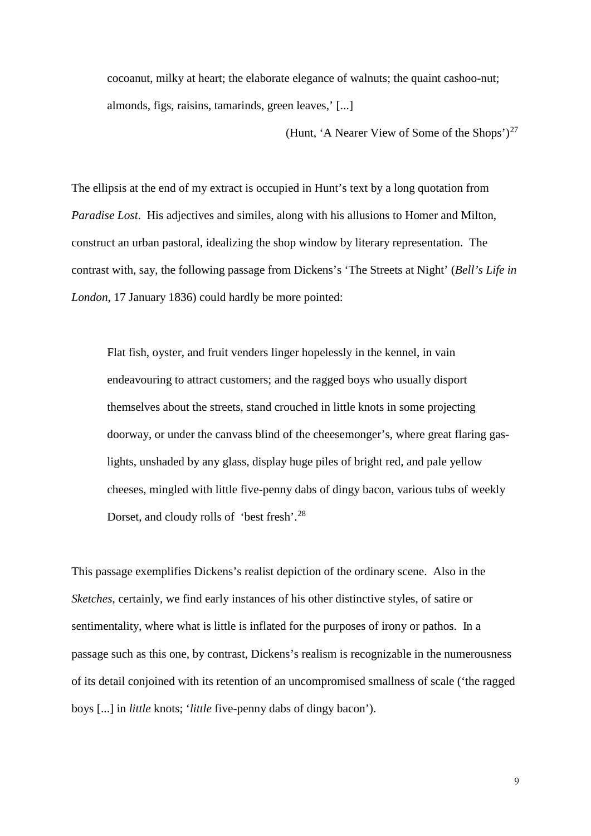<span id="page-9-0"></span>cocoanut, milky at heart; the elaborate elegance of walnuts; the quaint cashoo-nut; almonds, figs, raisins, tamarinds, green leaves,' [...]

(Hunt, 'A Nearer View of Some of the Shops')<sup>[27](#page-8-12)</sup>

<span id="page-9-2"></span><span id="page-9-1"></span>The ellipsis at the end of my extract is occupied in Hunt's text by a long quotation from *Paradise Lost*. His adjectives and similes, along with his allusions to Homer and Milton, construct an urban pastoral, idealizing the shop window by literary representation. The contrast with, say, the following passage from Dickens's 'The Streets at Night' (*Bell's Life in London*, 17 January 1836) could hardly be more pointed:

<span id="page-9-5"></span><span id="page-9-4"></span><span id="page-9-3"></span>Flat fish, oyster, and fruit venders linger hopelessly in the kennel, in vain endeavouring to attract customers; and the ragged boys who usually disport themselves about the streets, stand crouched in little knots in some projecting doorway, or under the canvass blind of the cheesemonger's, where great flaring gaslights, unshaded by any glass, display huge piles of bright red, and pale yellow cheeses, mingled with little five-penny dabs of dingy bacon, various tubs of weekly Dorset, and cloudy rolls of 'best fresh'.<sup>[28](#page-8-13)</sup>

<span id="page-9-9"></span><span id="page-9-8"></span><span id="page-9-7"></span><span id="page-9-6"></span>This passage exemplifies Dickens's realist depiction of the ordinary scene. Also in the *Sketches*, certainly, we find early instances of his other distinctive styles, of satire or sentimentality, where what is little is inflated for the purposes of irony or pathos. In a passage such as this one, by contrast, Dickens's realism is recognizable in the numerousness of its detail conjoined with its retention of an uncompromised smallness of scale ('the ragged boys [...] in *little* knots; '*little* five-penny dabs of dingy bacon').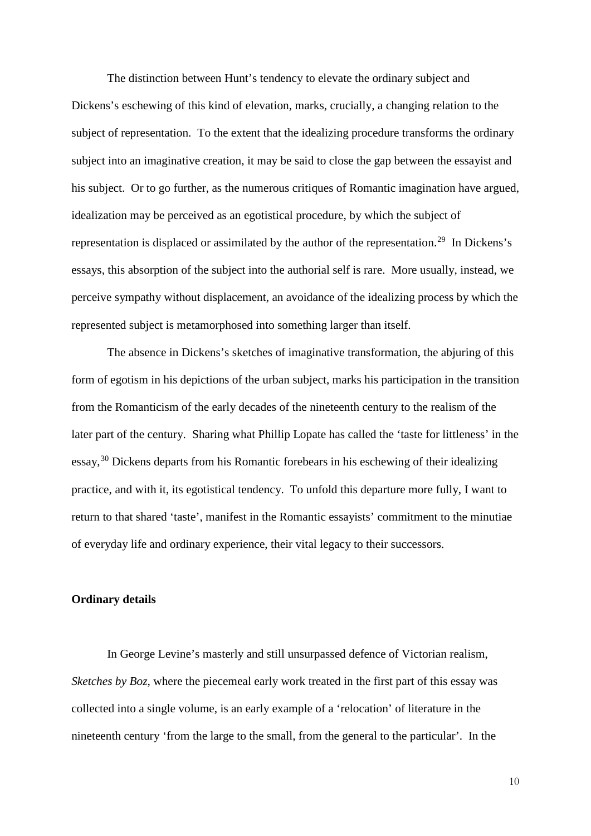<span id="page-10-0"></span>The distinction between Hunt's tendency to elevate the ordinary subject and Dickens's eschewing of this kind of elevation, marks, crucially, a changing relation to the subject of representation. To the extent that the idealizing procedure transforms the ordinary subject into an imaginative creation, it may be said to close the gap between the essayist and his subject. Or to go further, as the numerous critiques of Romantic imagination have argued, idealization may be perceived as an egotistical procedure, by which the subject of representation is displaced or assimilated by the author of the representation.<sup>29</sup> In Dickens's essays, this absorption of the subject into the authorial self is rare. More usually, instead, we perceive sympathy without displacement, an avoidance of the idealizing process by which the represented subject is metamorphosed into something larger than itself.

<span id="page-10-5"></span><span id="page-10-4"></span><span id="page-10-3"></span><span id="page-10-2"></span><span id="page-10-1"></span>The absence in Dickens's sketches of imaginative transformation, the abjuring of this form of egotism in his depictions of the urban subject, marks his participation in the transition from the Romanticism of the early decades of the nineteenth century to the realism of the later part of the century. Sharing what Phillip Lopate has called the 'taste for littleness' in the essay,[30](#page-8-15) Dickens departs from his Romantic forebears in his eschewing of their idealizing practice, and with it, its egotistical tendency. To unfold this departure more fully, I want to return to that shared 'taste', manifest in the Romantic essayists' commitment to the minutiae of everyday life and ordinary experience, their vital legacy to their successors.

### <span id="page-10-7"></span><span id="page-10-6"></span>**Ordinary details**

<span id="page-10-9"></span><span id="page-10-8"></span>In George Levine's masterly and still unsurpassed defence of Victorian realism, *Sketches by Boz*, where the piecemeal early work treated in the first part of this essay was collected into a single volume, is an early example of a 'relocation' of literature in the nineteenth century 'from the large to the small, from the general to the particular'. In the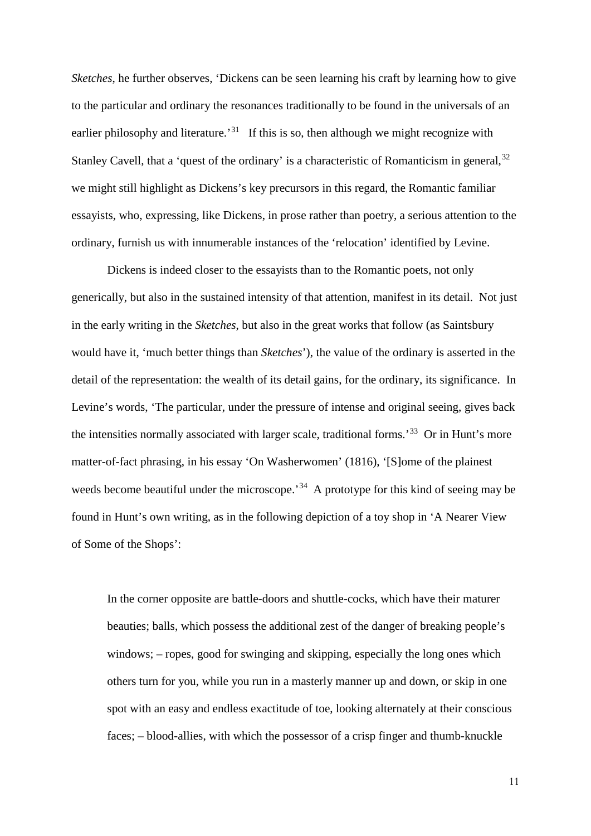<span id="page-11-1"></span><span id="page-11-0"></span>*Sketches*, he further observes, 'Dickens can be seen learning his craft by learning how to give to the particular and ordinary the resonances traditionally to be found in the universals of an earlier philosophy and literature.<sup>[31](#page-8-16)</sup> If this is so, then although we might recognize with Stanley Cavell, that a 'quest of the ordinary' is a characteristic of Romanticism in general, [32](#page-9-0) we might still highlight as Dickens's key precursors in this regard, the Romantic familiar essayists, who, expressing, like Dickens, in prose rather than poetry, a serious attention to the ordinary, furnish us with innumerable instances of the 'relocation' identified by Levine.

<span id="page-11-2"></span>Dickens is indeed closer to the essayists than to the Romantic poets, not only generically, but also in the sustained intensity of that attention, manifest in its detail. Not just in the early writing in the *Sketches*, but also in the great works that follow (as Saintsbury would have it, 'much better things than *Sketches*'), the value of the ordinary is asserted in the detail of the representation: the wealth of its detail gains, for the ordinary, its significance. In Levine's words, 'The particular, under the pressure of intense and original seeing, gives back the intensities normally associated with larger scale, traditional forms.'[33](#page-9-1) Or in Hunt's more matter-of-fact phrasing, in his essay 'On Washerwomen' (1816), '[S]ome of the plainest weeds become beautiful under the microscope.<sup>34</sup> A prototype for this kind of seeing may be found in Hunt's own writing, as in the following depiction of a toy shop in 'A Nearer View of Some of the Shops':

<span id="page-11-5"></span><span id="page-11-4"></span><span id="page-11-3"></span>In the corner opposite are battle-doors and shuttle-cocks, which have their maturer beauties; balls, which possess the additional zest of the danger of breaking people's windows; – ropes, good for swinging and skipping, especially the long ones which others turn for you, while you run in a masterly manner up and down, or skip in one spot with an easy and endless exactitude of toe, looking alternately at their conscious faces; – blood-allies, with which the possessor of a crisp finger and thumb-knuckle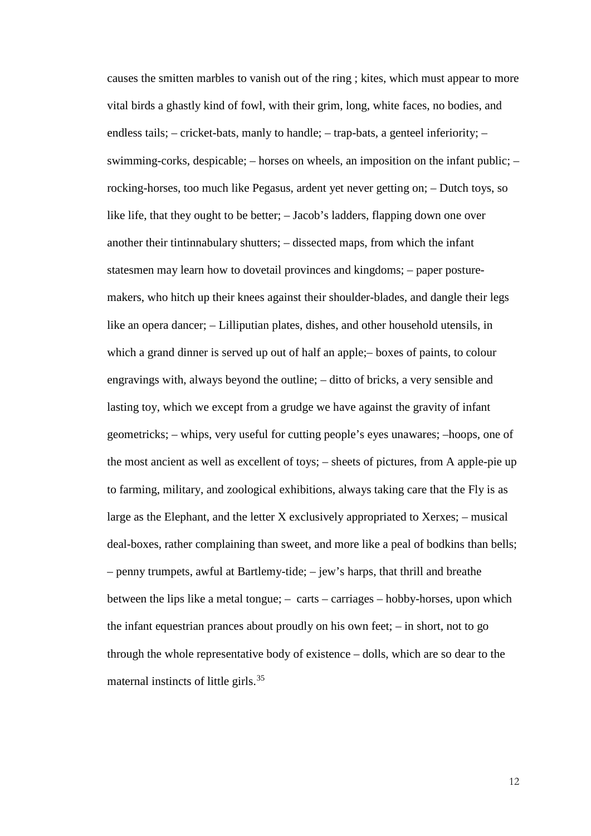causes the smitten marbles to vanish out of the ring ; kites, which must appear to more vital birds a ghastly kind of fowl, with their grim, long, white faces, no bodies, and endless tails; – cricket-bats, manly to handle; – trap-bats, a genteel inferiority; – swimming-corks, despicable; – horses on wheels, an imposition on the infant public; – rocking-horses, too much like Pegasus, ardent yet never getting on; – Dutch toys, so like life, that they ought to be better; – Jacob's ladders, flapping down one over another their tintinnabulary shutters; – dissected maps, from which the infant statesmen may learn how to dovetail provinces and kingdoms; – paper posturemakers, who hitch up their knees against their shoulder-blades, and dangle their legs like an opera dancer; – Lilliputian plates, dishes, and other household utensils, in which a grand dinner is served up out of half an apple;– boxes of paints, to colour engravings with, always beyond the outline; – ditto of bricks, a very sensible and lasting toy, which we except from a grudge we have against the gravity of infant geometricks; – whips, very useful for cutting people's eyes unawares; –hoops, one of the most ancient as well as excellent of toys; – sheets of pictures, from A apple-pie up to farming, military, and zoological exhibitions, always taking care that the Fly is as large as the Elephant, and the letter X exclusively appropriated to Xerxes; – musical deal-boxes, rather complaining than sweet, and more like a peal of bodkins than bells; – penny trumpets, awful at Bartlemy-tide; – jew's harps, that thrill and breathe between the lips like a metal tongue; – carts – carriages – hobby-horses, upon which the infant equestrian prances about proudly on his own feet; – in short, not to go through the whole representative body of existence – dolls, which are so dear to the maternal instincts of little girls.[35](#page-9-3)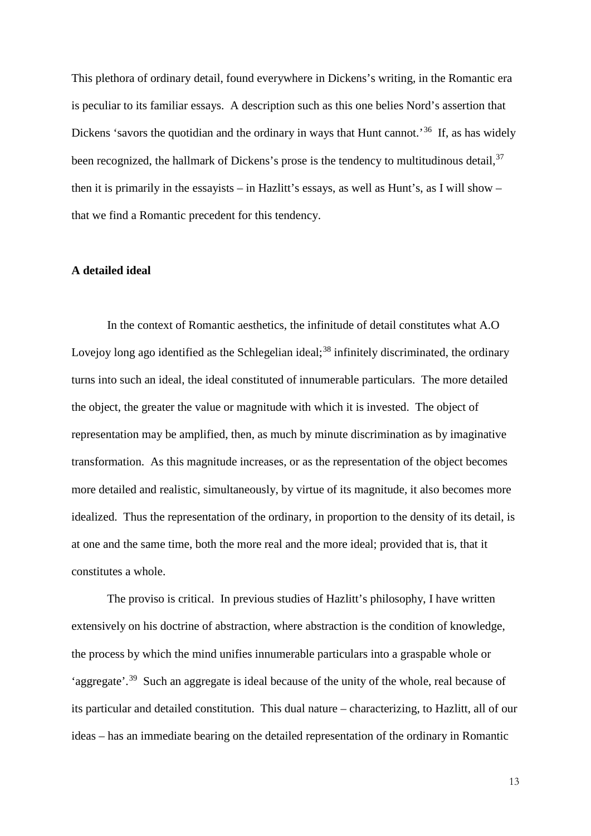This plethora of ordinary detail, found everywhere in Dickens's writing, in the Romantic era is peculiar to its familiar essays. A description such as this one belies Nord's assertion that Dickens 'savors the quotidian and the ordinary in ways that Hunt cannot.<sup>[36](#page-9-4)</sup> If, as has widely been recognized, the hallmark of Dickens's prose is the tendency to multitudinous detail,  $37$ then it is primarily in the essayists – in Hazlitt's essays, as well as Hunt's, as I will show – that we find a Romantic precedent for this tendency.

## **A detailed ideal**

In the context of Romantic aesthetics, the infinitude of detail constitutes what A.O Lovejoy long ago identified as the Schlegelian ideal; $38$  infinitely discriminated, the ordinary turns into such an ideal, the ideal constituted of innumerable particulars. The more detailed the object, the greater the value or magnitude with which it is invested. The object of representation may be amplified, then, as much by minute discrimination as by imaginative transformation. As this magnitude increases, or as the representation of the object becomes more detailed and realistic, simultaneously, by virtue of its magnitude, it also becomes more idealized. Thus the representation of the ordinary, in proportion to the density of its detail, is at one and the same time, both the more real and the more ideal; provided that is, that it constitutes a whole.

The proviso is critical. In previous studies of Hazlitt's philosophy, I have written extensively on his doctrine of abstraction, where abstraction is the condition of knowledge, the process by which the mind unifies innumerable particulars into a graspable whole or 'aggregate'.[39](#page-9-7) Such an aggregate is ideal because of the unity of the whole, real because of its particular and detailed constitution. This dual nature – characterizing, to Hazlitt, all of our ideas – has an immediate bearing on the detailed representation of the ordinary in Romantic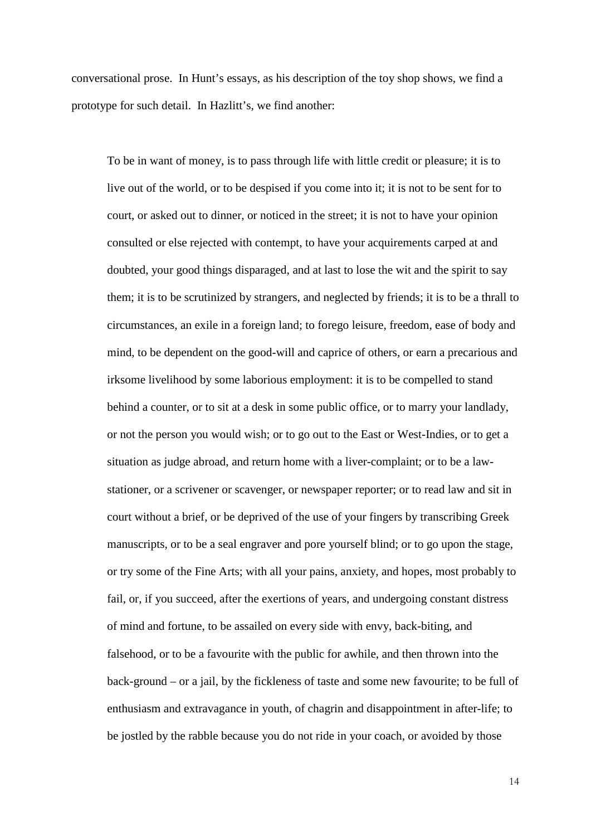conversational prose. In Hunt's essays, as his description of the toy shop shows, we find a prototype for such detail. In Hazlitt's, we find another:

To be in want of money, is to pass through life with little credit or pleasure; it is to live out of the world, or to be despised if you come into it; it is not to be sent for to court, or asked out to dinner, or noticed in the street; it is not to have your opinion consulted or else rejected with contempt, to have your acquirements carped at and doubted, your good things disparaged, and at last to lose the wit and the spirit to say them; it is to be scrutinized by strangers, and neglected by friends; it is to be a thrall to circumstances, an exile in a foreign land; to forego leisure, freedom, ease of body and mind, to be dependent on the good-will and caprice of others, or earn a precarious and irksome livelihood by some laborious employment: it is to be compelled to stand behind a counter, or to sit at a desk in some public office, or to marry your landlady, or not the person you would wish; or to go out to the East or West-Indies, or to get a situation as judge abroad, and return home with a liver-complaint; or to be a lawstationer, or a scrivener or scavenger, or newspaper reporter; or to read law and sit in court without a brief, or be deprived of the use of your fingers by transcribing Greek manuscripts, or to be a seal engraver and pore yourself blind; or to go upon the stage, or try some of the Fine Arts; with all your pains, anxiety, and hopes, most probably to fail, or, if you succeed, after the exertions of years, and undergoing constant distress of mind and fortune, to be assailed on every side with envy, back-biting, and falsehood, or to be a favourite with the public for awhile, and then thrown into the back-ground – or a jail, by the fickleness of taste and some new favourite; to be full of enthusiasm and extravagance in youth, of chagrin and disappointment in after-life; to be jostled by the rabble because you do not ride in your coach, or avoided by those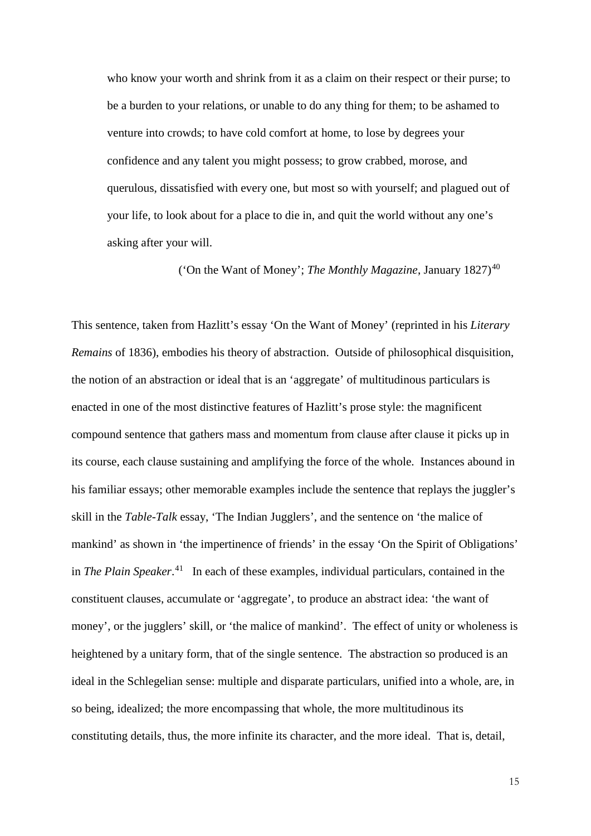who know your worth and shrink from it as a claim on their respect or their purse; to be a burden to your relations, or unable to do any thing for them; to be ashamed to venture into crowds; to have cold comfort at home, to lose by degrees your confidence and any talent you might possess; to grow crabbed, morose, and querulous, dissatisfied with every one, but most so with yourself; and plagued out of your life, to look about for a place to die in, and quit the world without any one's asking after your will.

('On the Want of Money'; *The Monthly Magazine*, January 1827)<sup>[40](#page-9-8)</sup>

This sentence, taken from Hazlitt's essay 'On the Want of Money' (reprinted in his *Literary Remains* of 1836), embodies his theory of abstraction. Outside of philosophical disquisition, the notion of an abstraction or ideal that is an 'aggregate' of multitudinous particulars is enacted in one of the most distinctive features of Hazlitt's prose style: the magnificent compound sentence that gathers mass and momentum from clause after clause it picks up in its course, each clause sustaining and amplifying the force of the whole. Instances abound in his familiar essays; other memorable examples include the sentence that replays the juggler's skill in the *Table-Talk* essay, 'The Indian Jugglers', and the sentence on 'the malice of mankind' as shown in 'the impertinence of friends' in the essay 'On the Spirit of Obligations' in *The Plain Speaker*. [41](#page-9-9) In each of these examples, individual particulars, contained in the constituent clauses, accumulate or 'aggregate', to produce an abstract idea: 'the want of money', or the jugglers' skill, or 'the malice of mankind'. The effect of unity or wholeness is heightened by a unitary form, that of the single sentence. The abstraction so produced is an ideal in the Schlegelian sense: multiple and disparate particulars, unified into a whole, are, in so being, idealized; the more encompassing that whole, the more multitudinous its constituting details, thus, the more infinite its character, and the more ideal. That is, detail,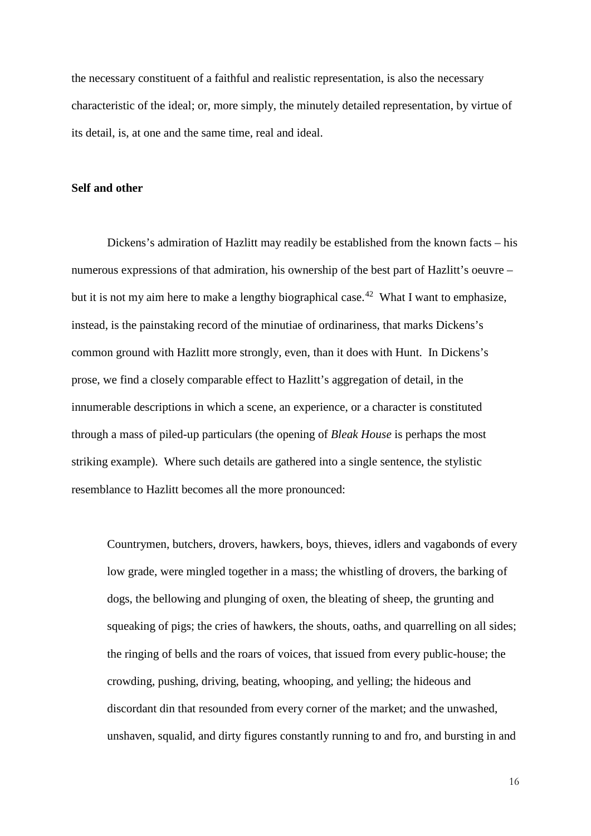the necessary constituent of a faithful and realistic representation, is also the necessary characteristic of the ideal; or, more simply, the minutely detailed representation, by virtue of its detail, is, at one and the same time, real and ideal.

#### **Self and other**

Dickens's admiration of Hazlitt may readily be established from the known facts – his numerous expressions of that admiration, his ownership of the best part of Hazlitt's oeuvre – but it is not my aim here to make a lengthy biographical case.<sup>[42](#page-10-0)</sup> What I want to emphasize, instead, is the painstaking record of the minutiae of ordinariness, that marks Dickens's common ground with Hazlitt more strongly, even, than it does with Hunt. In Dickens's prose, we find a closely comparable effect to Hazlitt's aggregation of detail, in the innumerable descriptions in which a scene, an experience, or a character is constituted through a mass of piled-up particulars (the opening of *Bleak House* is perhaps the most striking example). Where such details are gathered into a single sentence, the stylistic resemblance to Hazlitt becomes all the more pronounced:

Countrymen, butchers, drovers, hawkers, boys, thieves, idlers and vagabonds of every low grade, were mingled together in a mass; the whistling of drovers, the barking of dogs, the bellowing and plunging of oxen, the bleating of sheep, the grunting and squeaking of pigs; the cries of hawkers, the shouts, oaths, and quarrelling on all sides; the ringing of bells and the roars of voices, that issued from every public-house; the crowding, pushing, driving, beating, whooping, and yelling; the hideous and discordant din that resounded from every corner of the market; and the unwashed, unshaven, squalid, and dirty figures constantly running to and fro, and bursting in and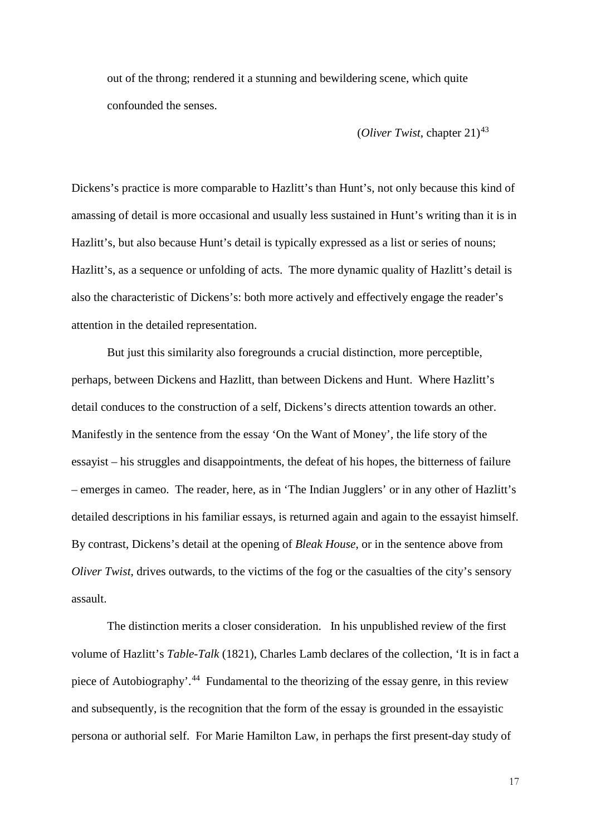out of the throng; rendered it a stunning and bewildering scene, which quite confounded the senses.

## (*Oliver Twist*, chapter 21)[43](#page-10-1)

Dickens's practice is more comparable to Hazlitt's than Hunt's, not only because this kind of amassing of detail is more occasional and usually less sustained in Hunt's writing than it is in Hazlitt's, but also because Hunt's detail is typically expressed as a list or series of nouns; Hazlitt's, as a sequence or unfolding of acts. The more dynamic quality of Hazlitt's detail is also the characteristic of Dickens's: both more actively and effectively engage the reader's attention in the detailed representation.

But just this similarity also foregrounds a crucial distinction, more perceptible, perhaps, between Dickens and Hazlitt, than between Dickens and Hunt. Where Hazlitt's detail conduces to the construction of a self, Dickens's directs attention towards an other. Manifestly in the sentence from the essay 'On the Want of Money', the life story of the essayist – his struggles and disappointments, the defeat of his hopes, the bitterness of failure – emerges in cameo. The reader, here, as in 'The Indian Jugglers' or in any other of Hazlitt's detailed descriptions in his familiar essays, is returned again and again to the essayist himself. By contrast, Dickens's detail at the opening of *Bleak House*, or in the sentence above from *Oliver Twist*, drives outwards, to the victims of the fog or the casualties of the city's sensory assault.

The distinction merits a closer consideration. In his unpublished review of the first volume of Hazlitt's *Table-Talk* (1821), Charles Lamb declares of the collection, 'It is in fact a piece of Autobiography'.[44](#page-10-2) Fundamental to the theorizing of the essay genre, in this review and subsequently, is the recognition that the form of the essay is grounded in the essayistic persona or authorial self. For Marie Hamilton Law, in perhaps the first present-day study of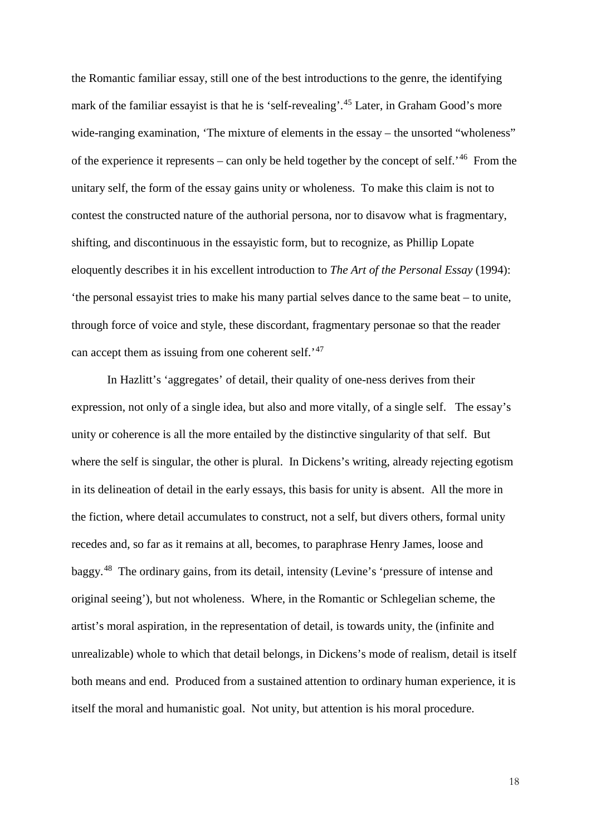the Romantic familiar essay, still one of the best introductions to the genre, the identifying mark of the familiar essayist is that he is 'self-revealing'.<sup>[45](#page-10-3)</sup> Later, in Graham Good's more wide-ranging examination, 'The mixture of elements in the essay – the unsorted "wholeness" of the experience it represents – can only be held together by the concept of self.<sup>[46](#page-10-4)</sup> From the unitary self, the form of the essay gains unity or wholeness. To make this claim is not to contest the constructed nature of the authorial persona, nor to disavow what is fragmentary, shifting, and discontinuous in the essayistic form, but to recognize, as Phillip Lopate eloquently describes it in his excellent introduction to *The Art of the Personal Essay* (1994): 'the personal essayist tries to make his many partial selves dance to the same beat – to unite, through force of voice and style, these discordant, fragmentary personae so that the reader can accept them as issuing from one coherent self.<sup>'[47](#page-10-5)</sup>

In Hazlitt's 'aggregates' of detail, their quality of one-ness derives from their expression, not only of a single idea, but also and more vitally, of a single self. The essay's unity or coherence is all the more entailed by the distinctive singularity of that self. But where the self is singular, the other is plural. In Dickens's writing, already rejecting egotism in its delineation of detail in the early essays, this basis for unity is absent. All the more in the fiction, where detail accumulates to construct, not a self, but divers others, formal unity recedes and, so far as it remains at all, becomes, to paraphrase Henry James, loose and baggy.[48](#page-10-6) The ordinary gains, from its detail, intensity (Levine's 'pressure of intense and original seeing'), but not wholeness. Where, in the Romantic or Schlegelian scheme, the artist's moral aspiration, in the representation of detail, is towards unity, the (infinite and unrealizable) whole to which that detail belongs, in Dickens's mode of realism, detail is itself both means and end. Produced from a sustained attention to ordinary human experience, it is itself the moral and humanistic goal. Not unity, but attention is his moral procedure.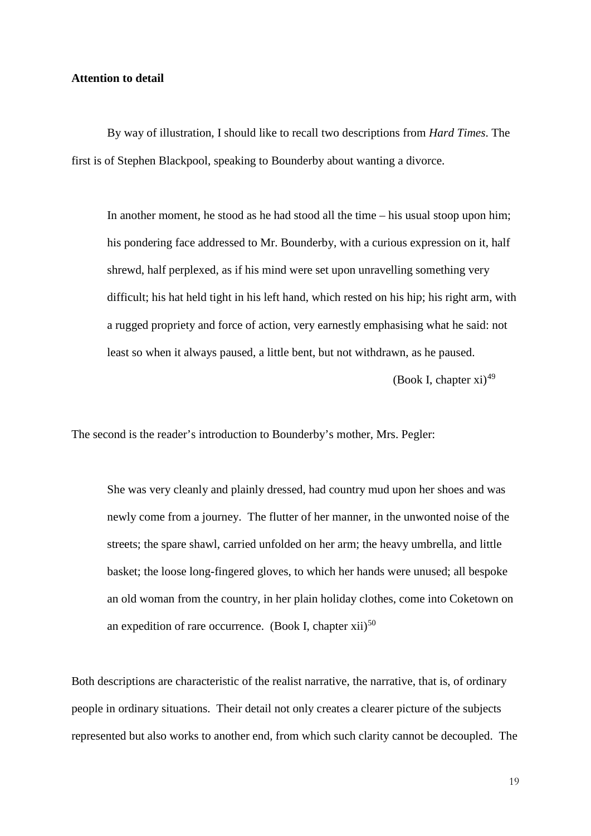## **Attention to detail**

By way of illustration, I should like to recall two descriptions from *Hard Times*. The first is of Stephen Blackpool, speaking to Bounderby about wanting a divorce.

In another moment, he stood as he had stood all the time – his usual stoop upon him; his pondering face addressed to Mr. Bounderby, with a curious expression on it, half shrewd, half perplexed, as if his mind were set upon unravelling something very difficult; his hat held tight in his left hand, which rested on his hip; his right arm, with a rugged propriety and force of action, very earnestly emphasising what he said: not least so when it always paused, a little bent, but not withdrawn, as he paused.

(Book I, chapter  $xi^{1/49}$  $xi^{1/49}$  $xi^{1/49}$ 

The second is the reader's introduction to Bounderby's mother, Mrs. Pegler:

She was very cleanly and plainly dressed, had country mud upon her shoes and was newly come from a journey. The flutter of her manner, in the unwonted noise of the streets; the spare shawl, carried unfolded on her arm; the heavy umbrella, and little basket; the loose long-fingered gloves, to which her hands were unused; all bespoke an old woman from the country, in her plain holiday clothes, come into Coketown on an expedition of rare occurrence. (Book I, chapter  $xii$ )<sup>[50](#page-10-8)</sup>

Both descriptions are characteristic of the realist narrative, the narrative, that is, of ordinary people in ordinary situations. Their detail not only creates a clearer picture of the subjects represented but also works to another end, from which such clarity cannot be decoupled. The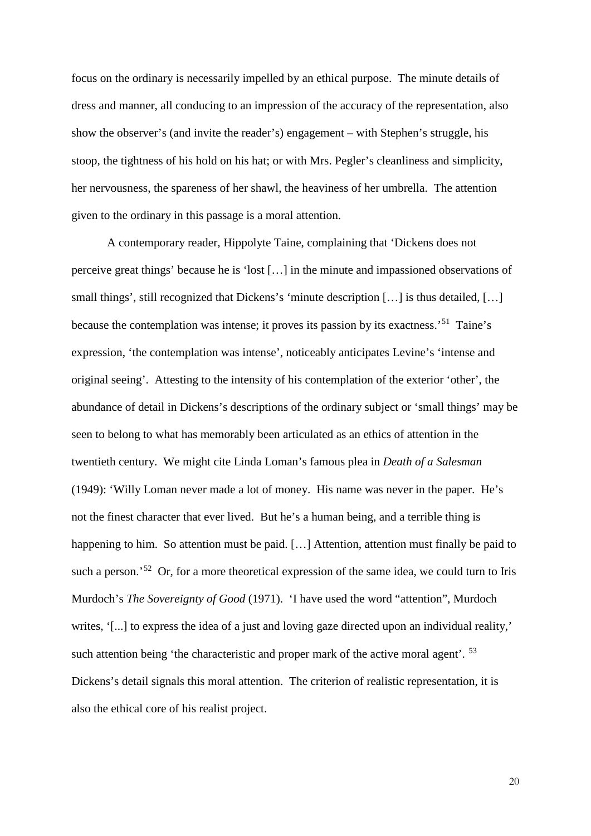focus on the ordinary is necessarily impelled by an ethical purpose. The minute details of dress and manner, all conducing to an impression of the accuracy of the representation, also show the observer's (and invite the reader's) engagement – with Stephen's struggle, his stoop, the tightness of his hold on his hat; or with Mrs. Pegler's cleanliness and simplicity, her nervousness, the spareness of her shawl, the heaviness of her umbrella. The attention given to the ordinary in this passage is a moral attention.

A contemporary reader, Hippolyte Taine, complaining that 'Dickens does not perceive great things' because he is 'lost […] in the minute and impassioned observations of small things', still recognized that Dickens's 'minute description [...] is thus detailed, [...] because the contemplation was intense; it proves its passion by its exactness.'[51](#page-10-9) Taine's expression, 'the contemplation was intense', noticeably anticipates Levine's 'intense and original seeing'. Attesting to the intensity of his contemplation of the exterior 'other', the abundance of detail in Dickens's descriptions of the ordinary subject or 'small things' may be seen to belong to what has memorably been articulated as an ethics of attention in the twentieth century. We might cite Linda Loman's famous plea in *Death of a Salesman* (1949): 'Willy Loman never made a lot of money. His name was never in the paper. He's not the finest character that ever lived. But he's a human being, and a terrible thing is happening to him. So attention must be paid. [...] Attention, attention must finally be paid to such a person.<sup>[52](#page-11-0)</sup> Or, for a more theoretical expression of the same idea, we could turn to Iris Murdoch's *The Sovereignty of Good* (1971). 'I have used the word "attention", Murdoch writes, '[...] to express the idea of a just and loving gaze directed upon an individual reality,' such attention being 'the characteristic and proper mark of the active moral agent'. <sup>[53](#page-11-1)</sup> Dickens's detail signals this moral attention. The criterion of realistic representation, it is also the ethical core of his realist project.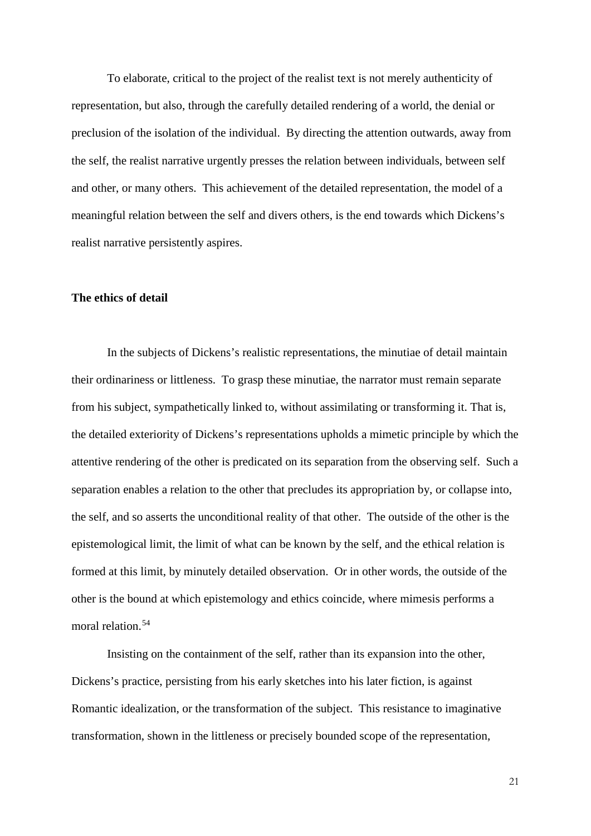To elaborate, critical to the project of the realist text is not merely authenticity of representation, but also, through the carefully detailed rendering of a world, the denial or preclusion of the isolation of the individual. By directing the attention outwards, away from the self, the realist narrative urgently presses the relation between individuals, between self and other, or many others. This achievement of the detailed representation, the model of a meaningful relation between the self and divers others, is the end towards which Dickens's realist narrative persistently aspires.

## **The ethics of detail**

In the subjects of Dickens's realistic representations, the minutiae of detail maintain their ordinariness or littleness. To grasp these minutiae, the narrator must remain separate from his subject, sympathetically linked to, without assimilating or transforming it. That is, the detailed exteriority of Dickens's representations upholds a mimetic principle by which the attentive rendering of the other is predicated on its separation from the observing self. Such a separation enables a relation to the other that precludes its appropriation by, or collapse into, the self, and so asserts the unconditional reality of that other. The outside of the other is the epistemological limit, the limit of what can be known by the self, and the ethical relation is formed at this limit, by minutely detailed observation. Or in other words, the outside of the other is the bound at which epistemology and ethics coincide, where mimesis performs a moral relation.<sup>[54](#page-11-2)</sup>

Insisting on the containment of the self, rather than its expansion into the other, Dickens's practice, persisting from his early sketches into his later fiction, is against Romantic idealization, or the transformation of the subject. This resistance to imaginative transformation, shown in the littleness or precisely bounded scope of the representation,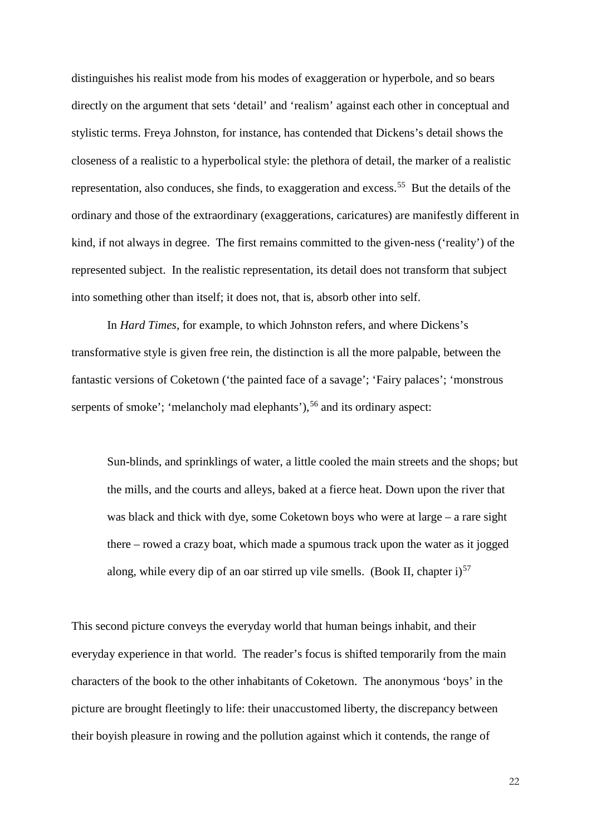distinguishes his realist mode from his modes of exaggeration or hyperbole, and so bears directly on the argument that sets 'detail' and 'realism' against each other in conceptual and stylistic terms. Freya Johnston, for instance, has contended that Dickens's detail shows the closeness of a realistic to a hyperbolical style: the plethora of detail, the marker of a realistic representation, also conduces, she finds, to exaggeration and excess.<sup>55</sup> But the details of the ordinary and those of the extraordinary (exaggerations, caricatures) are manifestly different in kind, if not always in degree. The first remains committed to the given-ness ('reality') of the represented subject. In the realistic representation, its detail does not transform that subject into something other than itself; it does not, that is, absorb other into self.

In *Hard Times*, for example, to which Johnston refers, and where Dickens's transformative style is given free rein, the distinction is all the more palpable, between the fantastic versions of Coketown ('the painted face of a savage'; 'Fairy palaces'; 'monstrous serpents of smoke'; 'melancholy mad elephants'),<sup>[56](#page-11-4)</sup> and its ordinary aspect:

Sun-blinds, and sprinklings of water, a little cooled the main streets and the shops; but the mills, and the courts and alleys, baked at a fierce heat. Down upon the river that was black and thick with dye, some Coketown boys who were at large – a rare sight there – rowed a crazy boat, which made a spumous track upon the water as it jogged along, while every dip of an oar stirred up vile smells. (Book II, chapter i)<sup>[57](#page-11-5)</sup>

This second picture conveys the everyday world that human beings inhabit, and their everyday experience in that world. The reader's focus is shifted temporarily from the main characters of the book to the other inhabitants of Coketown. The anonymous 'boys' in the picture are brought fleetingly to life: their unaccustomed liberty, the discrepancy between their boyish pleasure in rowing and the pollution against which it contends, the range of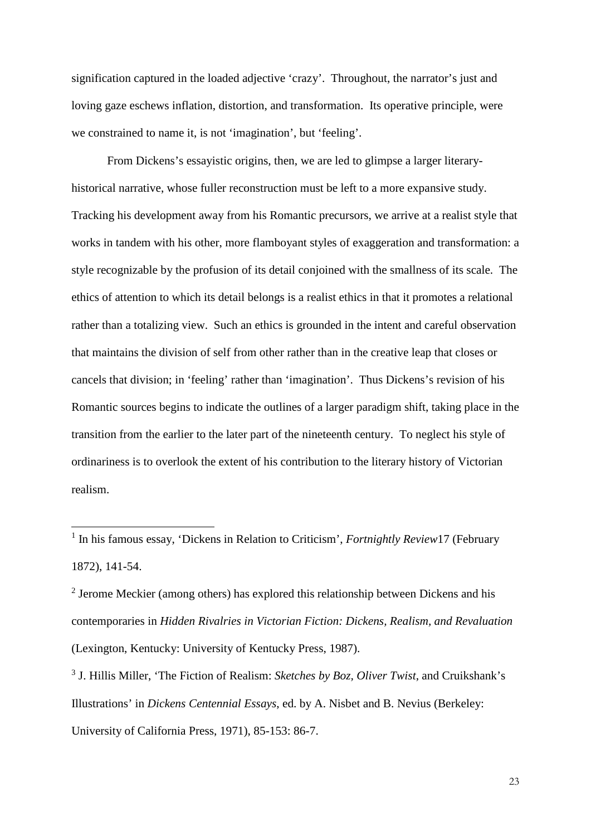signification captured in the loaded adjective 'crazy'. Throughout, the narrator's just and loving gaze eschews inflation, distortion, and transformation. Its operative principle, were we constrained to name it, is not 'imagination', but 'feeling'.

From Dickens's essayistic origins, then, we are led to glimpse a larger literaryhistorical narrative, whose fuller reconstruction must be left to a more expansive study. Tracking his development away from his Romantic precursors, we arrive at a realist style that works in tandem with his other, more flamboyant styles of exaggeration and transformation: a style recognizable by the profusion of its detail conjoined with the smallness of its scale. The ethics of attention to which its detail belongs is a realist ethics in that it promotes a relational rather than a totalizing view. Such an ethics is grounded in the intent and careful observation that maintains the division of self from other rather than in the creative leap that closes or cancels that division; in 'feeling' rather than 'imagination'. Thus Dickens's revision of his Romantic sources begins to indicate the outlines of a larger paradigm shift, taking place in the transition from the earlier to the later part of the nineteenth century. To neglect his style of ordinariness is to overlook the extent of his contribution to the literary history of Victorian realism.

-

<sup>&</sup>lt;sup>1</sup> In his famous essay, 'Dickens in Relation to Criticism', *Fortnightly Review*17 (February 1872), 141-54.

<sup>&</sup>lt;sup>2</sup> Jerome Meckier (among others) has explored this relationship between Dickens and his contemporaries in *Hidden Rivalries in Victorian Fiction: Dickens, Realism, and Revaluation* (Lexington, Kentucky: University of Kentucky Press, 1987).

<sup>3</sup> J. Hillis Miller, 'The Fiction of Realism: *Sketches by Boz, Oliver Twist*, and Cruikshank's Illustrations' in *Dickens Centennial Essays*, ed. by A. Nisbet and B. Nevius (Berkeley: University of California Press, 1971), 85-153: 86-7.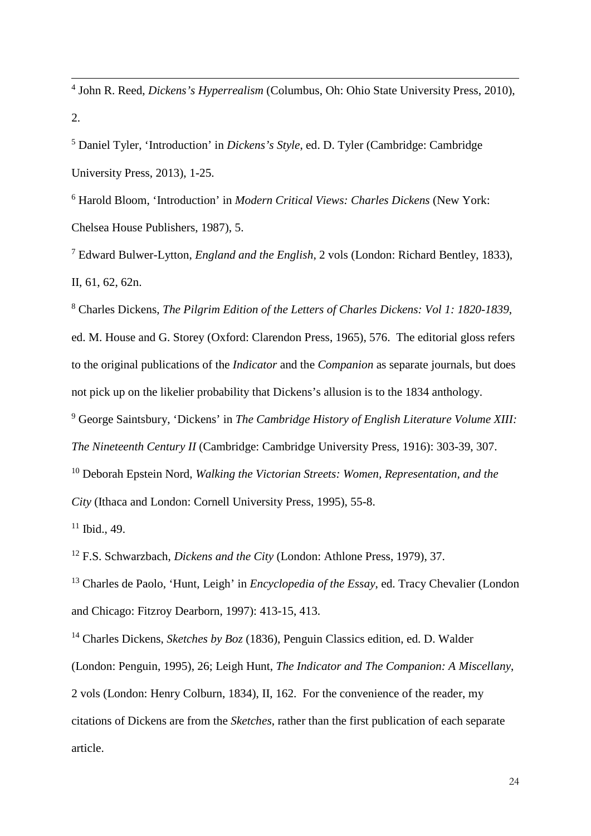<sup>4</sup> John R. Reed, *Dickens's Hyperrealism* (Columbus, Oh: Ohio State University Press, 2010), 2.

<sup>5</sup> Daniel Tyler, 'Introduction' in *Dickens's Style*, ed. D. Tyler (Cambridge: Cambridge University Press, 2013), 1-25.

<sup>6</sup> Harold Bloom, 'Introduction' in *Modern Critical Views: Charles Dickens* (New York: Chelsea House Publishers, 1987), 5.

<sup>7</sup> Edward Bulwer-Lytton, *England and the English*, 2 vols (London: Richard Bentley, 1833), II, 61, 62, 62n.

<sup>8</sup> Charles Dickens, *The Pilgrim Edition of the Letters of Charles Dickens: Vol 1: 1820-1839*, ed. M. House and G. Storey (Oxford: Clarendon Press, 1965), 576. The editorial gloss refers to the original publications of the *Indicator* and the *Companion* as separate journals, but does not pick up on the likelier probability that Dickens's allusion is to the 1834 anthology.

<sup>9</sup> George Saintsbury, 'Dickens' in *The Cambridge History of English Literature Volume XIII: The Nineteenth Century II* (Cambridge: Cambridge University Press, 1916): 303-39, 307.

<sup>10</sup> Deborah Epstein Nord, *Walking the Victorian Streets: Women, Representation, and the* 

*City* (Ithaca and London: Cornell University Press, 1995), 55-8.

 $11$  Ibid., 49.

-

<sup>12</sup> F.S. Schwarzbach, *Dickens and the City* (London: Athlone Press, 1979), 37.

<sup>13</sup> Charles de Paolo, 'Hunt, Leigh' in *Encyclopedia of the Essay*, ed. Tracy Chevalier (London and Chicago: Fitzroy Dearborn, 1997): 413-15, 413.

<sup>14</sup> Charles Dickens, *Sketches by Boz* (1836), Penguin Classics edition, ed. D. Walder (London: Penguin, 1995), 26; Leigh Hunt, *The Indicator and The Companion: A Miscellany*, 2 vols (London: Henry Colburn, 1834), II, 162. For the convenience of the reader, my citations of Dickens are from the *Sketches*, rather than the first publication of each separate article.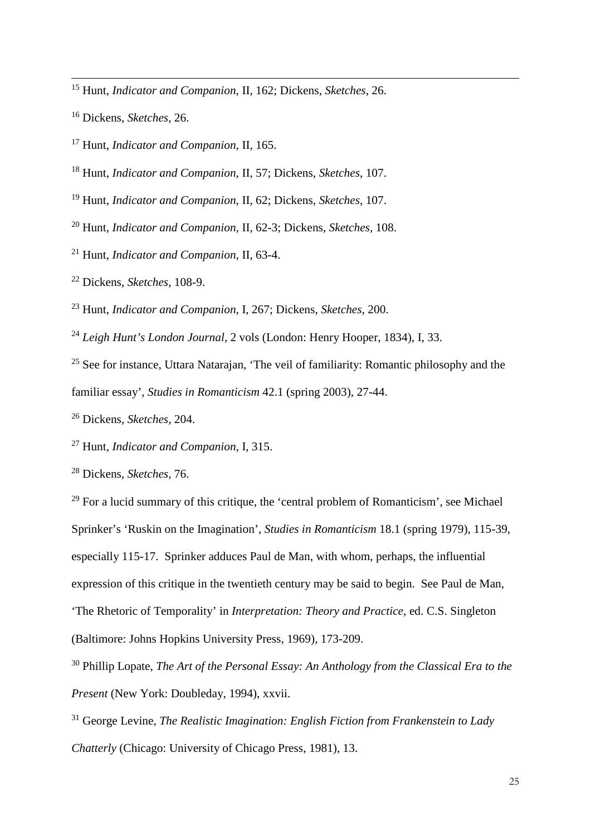Hunt, *Indicator and Companion*, II, 162; Dickens, *Sketches*, 26.

Dickens, *Sketches*, 26.

-

Hunt, *Indicator and Companion*, II, 165.

Hunt, *Indicator and Companion*, II, 57; Dickens, *Sketches*, 107.

Hunt, *Indicator and Companion*, II, 62; Dickens, *Sketches*, 107.

Hunt, *Indicator and Companion*, II, 62-3; Dickens, *Sketches*, 108.

Hunt, *Indicator and Companion*, II, 63-4.

Dickens, *Sketches*, 108-9.

Hunt, *Indicator and Companion*, I, 267; Dickens, *Sketches*, 200.

*Leigh Hunt's London Journal*, 2 vols (London: Henry Hooper, 1834), I, 33.

<sup>25</sup> See for instance, Uttara Natarajan, 'The veil of familiarity: Romantic philosophy and the familiar essay', *Studies in Romanticism* 42.1 (spring 2003), 27-44.

Dickens, *Sketches*, 204.

Hunt, *Indicator and Companion*, I, 315.

Dickens, *Sketches*, 76.

 For a lucid summary of this critique, the 'central problem of Romanticism', see Michael Sprinker's 'Ruskin on the Imagination', *Studies in Romanticism* 18.1 (spring 1979), 115-39, especially 115-17. Sprinker adduces Paul de Man, with whom, perhaps, the influential expression of this critique in the twentieth century may be said to begin. See Paul de Man, 'The Rhetoric of Temporality' in *Interpretation: Theory and Practice*, ed. C.S. Singleton (Baltimore: Johns Hopkins University Press, 1969), 173-209.

 Phillip Lopate, *The Art of the Personal Essay: An Anthology from the Classical Era to the Present* (New York: Doubleday, 1994), xxvii.

 George Levine, *The Realistic Imagination: English Fiction from Frankenstein to Lady Chatterly* (Chicago: University of Chicago Press, 1981), 13.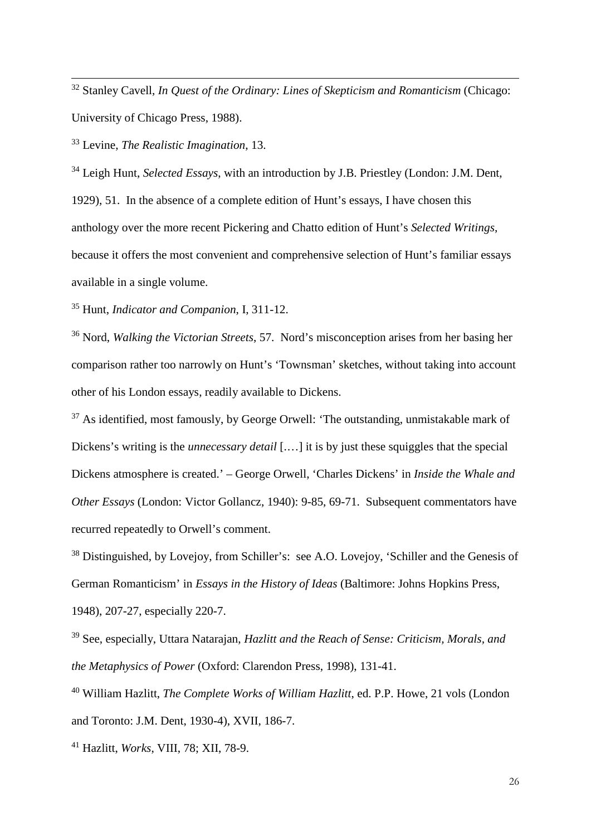<sup>32</sup> Stanley Cavell, *In Quest of the Ordinary: Lines of Skepticism and Romanticism* (Chicago: University of Chicago Press, 1988).

<sup>33</sup> Levine, *The Realistic Imagination*, 13.

-

<sup>34</sup> Leigh Hunt, *Selected Essays*, with an introduction by J.B. Priestley (London: J.M. Dent, 1929), 51. In the absence of a complete edition of Hunt's essays, I have chosen this anthology over the more recent Pickering and Chatto edition of Hunt's *Selected Writings*, because it offers the most convenient and comprehensive selection of Hunt's familiar essays available in a single volume.

<sup>35</sup> Hunt, *Indicator and Companion*, I, 311-12.

<sup>36</sup> Nord, *Walking the Victorian Streets*, 57. Nord's misconception arises from her basing her comparison rather too narrowly on Hunt's 'Townsman' sketches, without taking into account other of his London essays, readily available to Dickens.

<sup>37</sup> As identified, most famously, by George Orwell: 'The outstanding, unmistakable mark of Dickens's writing is the *unnecessary detail* [....] it is by just these squiggles that the special Dickens atmosphere is created.' – George Orwell, 'Charles Dickens' in *Inside the Whale and Other Essays* (London: Victor Gollancz, 1940): 9-85, 69-71. Subsequent commentators have recurred repeatedly to Orwell's comment.

<sup>38</sup> Distinguished, by Lovejoy, from Schiller's: see A.O. Lovejoy, 'Schiller and the Genesis of German Romanticism' in *Essays in the History of Ideas* (Baltimore: Johns Hopkins Press, 1948), 207-27, especially 220-7.

<sup>39</sup> See, especially, Uttara Natarajan, *Hazlitt and the Reach of Sense: Criticism, Morals, and the Metaphysics of Power* (Oxford: Clarendon Press, 1998), 131-41.

<sup>40</sup> William Hazlitt, *The Complete Works of William Hazlitt*, ed. P.P. Howe, 21 vols (London and Toronto: J.M. Dent, 1930-4), XVII, 186-7.

<sup>41</sup> Hazlitt, *Works*, VIII, 78; XII, 78-9.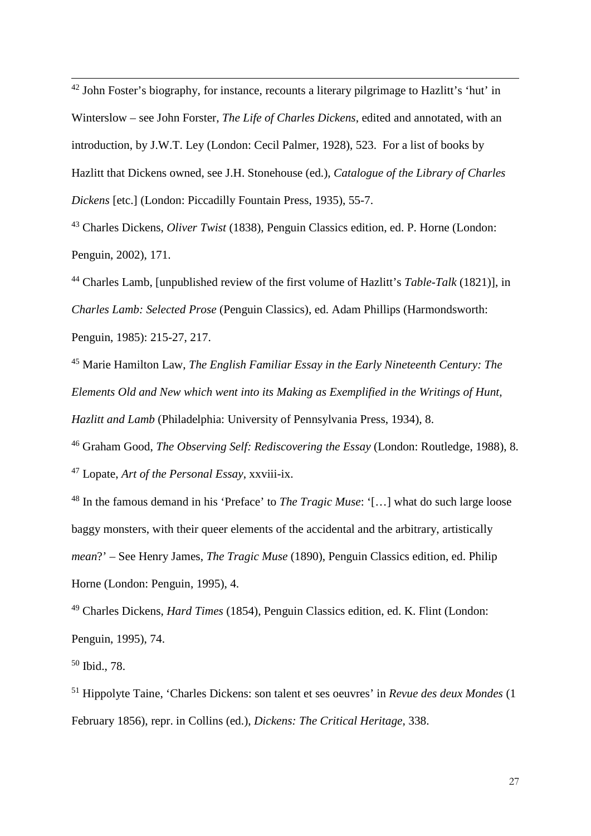$42$  John Foster's biography, for instance, recounts a literary pilgrimage to Hazlitt's 'hut' in Winterslow – see John Forster, *The Life of Charles Dickens*, edited and annotated, with an introduction, by J.W.T. Ley (London: Cecil Palmer, 1928), 523. For a list of books by Hazlitt that Dickens owned, see J.H. Stonehouse (ed.), *Catalogue of the Library of Charles Dickens* [etc.] (London: Piccadilly Fountain Press, 1935), 55-7.

<sup>43</sup> Charles Dickens, *Oliver Twist* (1838), Penguin Classics edition, ed. P. Horne (London: Penguin, 2002), 171.

<sup>44</sup> Charles Lamb, [unpublished review of the first volume of Hazlitt's *Table-Talk* (1821)], in *Charles Lamb: Selected Prose* (Penguin Classics), ed. Adam Phillips (Harmondsworth: Penguin, 1985): 215-27, 217.

<sup>45</sup> Marie Hamilton Law, *The English Familiar Essay in the Early Nineteenth Century: The Elements Old and New which went into its Making as Exemplified in the Writings of Hunt, Hazlitt and Lamb* (Philadelphia: University of Pennsylvania Press, 1934), 8.

<sup>46</sup> Graham Good, *The Observing Self: Rediscovering the Essay* (London: Routledge, 1988), 8. <sup>47</sup> Lopate, *Art of the Personal Essay*, xxviii-ix.

<sup>48</sup> In the famous demand in his 'Preface' to *The Tragic Muse*: '[…] what do such large loose baggy monsters, with their queer elements of the accidental and the arbitrary, artistically *mean*?' – See Henry James, *The Tragic Muse* (1890), Penguin Classics edition, ed. Philip Horne (London: Penguin, 1995), 4.

<sup>49</sup> Charles Dickens, *Hard Times* (1854), Penguin Classics edition, ed. K. Flint (London: Penguin, 1995), 74.

<sup>50</sup> Ibid., 78.

-

<sup>51</sup> Hippolyte Taine, 'Charles Dickens: son talent et ses oeuvres' in *Revue des deux Mondes* (1 February 1856), repr. in Collins (ed.), *Dickens: The Critical Heritage*, 338.